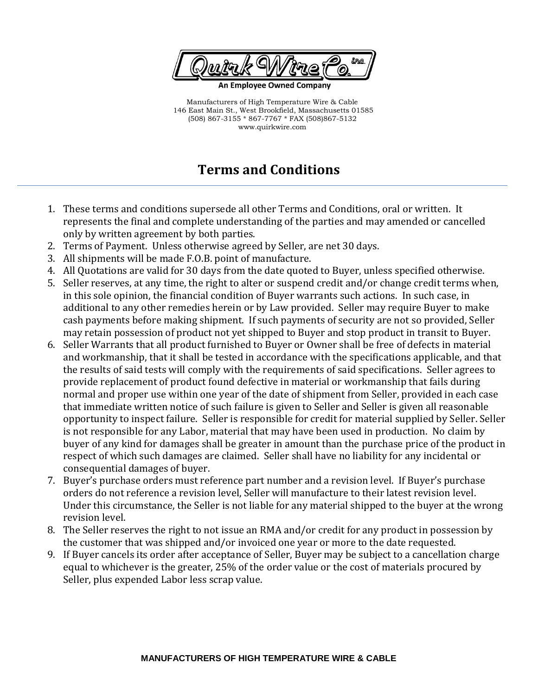

Manufacturers of High Temperature Wire & Cable 146 East Main St., West Brookfield, Massachusetts 01585 (508) 867-3155 \* 867-7767 \* FAX (508)867-5132 www.quirkwire.com

## **Terms and Conditions**

- 1. These terms and conditions supersede all other Terms and Conditions, oral or written. It represents the final and complete understanding of the parties and may amended or cancelled only by written agreement by both parties.
- 2. Terms of Payment. Unless otherwise agreed by Seller, are net 30 days.
- 3. All shipments will be made F.O.B. point of manufacture.
- 4. All Quotations are valid for 30 days from the date quoted to Buyer, unless specified otherwise.
- 5. Seller reserves, at any time, the right to alter or suspend credit and/or change credit terms when, in this sole opinion, the financial condition of Buyer warrants such actions. In such case, in additional to any other remedies herein or by Law provided. Seller may require Buyer to make cash payments before making shipment. If such payments of security are not so provided, Seller may retain possession of product not yet shipped to Buyer and stop product in transit to Buyer.
- 6. Seller Warrants that all product furnished to Buyer or Owner shall be free of defects in material and workmanship, that it shall be tested in accordance with the specifications applicable, and that the results of said tests will comply with the requirements of said specifications. Seller agrees to provide replacement of product found defective in material or workmanship that fails during normal and proper use within one year of the date of shipment from Seller, provided in each case that immediate written notice of such failure is given to Seller and Seller is given all reasonable opportunity to inspect failure. Seller is responsible for credit for material supplied by Seller. Seller is not responsible for any Labor, material that may have been used in production. No claim by buyer of any kind for damages shall be greater in amount than the purchase price of the product in respect of which such damages are claimed. Seller shall have no liability for any incidental or consequential damages of buyer.
- 7. Buyer's purchase orders must reference part number and a revision level. If Buyer's purchase orders do not reference a revision level, Seller will manufacture to their latest revision level. Under this circumstance, the Seller is not liable for any material shipped to the buyer at the wrong revision level.
- 8. The Seller reserves the right to not issue an RMA and/or credit for any product in possession by the customer that was shipped and/or invoiced one year or more to the date requested.
- 9. If Buyer cancels its order after acceptance of Seller, Buyer may be subject to a cancellation charge equal to whichever is the greater, 25% of the order value or the cost of materials procured by Seller, plus expended Labor less scrap value.